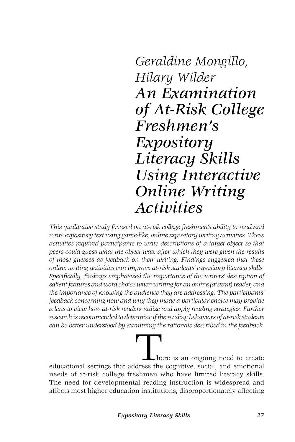*Geraldine Mongillo, Hilary Wilder An Examination of At-Risk College Freshmen's Expository Literacy Skills Using Interactive Online Writing Activities*

*This qualitative study focused on at-risk college freshmen's ability to read and write expository text using game-like, online expository writing activities. These activities required participants to write descriptions of a target object so that peers could guess what the object was, after which they were given the results of those guesses as feedback on their writing. Findings suggested that these online writing activities can improve at-risk students' expository literacy skills. Specifically, findings emphasized the importance of the writers' description of salient features and word choice when writing for an online (distant) reader, and the importance of knowing the audience they are addressing. The participants' feedback concerning how and why they made a particular choice may provide a lens to view how at-risk readers utilize and apply reading strategies. Further research is recommended to determine if the reading behaviors of at-risk students can be better understood by examining the rationale described in the feedback.*

There is an ongoing need to create educational settings that address the cognitive, social, and emotional needs of at-risk college freshmen who have limited literacy skills. The need for developmental reading instruction is widespread and affects most higher education institutions, disproportionately affecting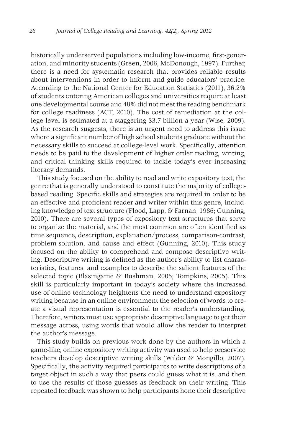historically underserved populations including low-income, first-generation, and minority students (Green, 2006; McDonough, 1997). Further, there is a need for systematic research that provides reliable results about interventions in order to inform and guide educators' practice. According to the National Center for Education Statistics (2011), 36.2% of students entering American colleges and universities require at least one developmental course and 48% did not meet the reading benchmark for college readiness (ACT, 2010). The cost of remediation at the college level is estimated at a staggering \$3.7 billion a year (Wise, 2009). As the research suggests, there is an urgent need to address this issue where a significant number of high school students graduate without the necessary skills to succeed at college-level work. Specifically, attention needs to be paid to the development of higher order reading, writing, and critical thinking skills required to tackle today's ever increasing literacy demands.

This study focused on the ability to read and write expository text, the genre that is generally understood to constitute the majority of collegebased reading. Specific skills and strategies are required in order to be an effective and proficient reader and writer within this genre, including knowledge of text structure (Flood, Lapp, & Farnan, 1986; Gunning, 2010). There are several types of expository text structures that serve to organize the material, and the most common are often identified as time sequence, description, explanation/process, comparison-contrast, problem-solution, and cause and effect (Gunning, 2010). This study focused on the ability to comprehend and compose descriptive writing. Descriptive writing is defined as the author's ability to list characteristics, features, and examples to describe the salient features of the selected topic (Blasingame  $&$  Bushman, 2005; Tompkins, 2005). This skill is particularly important in today's society where the increased use of online technology heightens the need to understand expository writing because in an online environment the selection of words to create a visual representation is essential to the reader's understanding. Therefore, writers must use appropriate descriptive language to get their message across, using words that would allow the reader to interpret the author's message.

This study builds on previous work done by the authors in which a game-like, online expository writing activity was used to help preservice teachers develop descriptive writing skills (Wilder & Mongillo, 2007). Specifically, the activity required participants to write descriptions of a target object in such a way that peers could guess what it is, and then to use the results of those guesses as feedback on their writing. This repeated feedback was shown to help participants hone their descriptive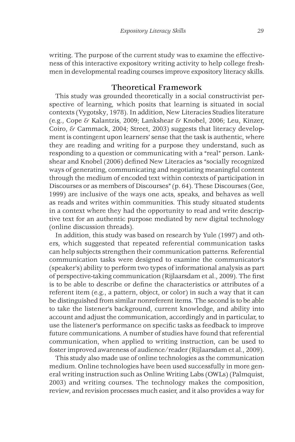writing. The purpose of the current study was to examine the effectiveness of this interactive expository writing activity to help college freshmen in developmental reading courses improve expository literacy skills.

## Theoretical Framework

This study was grounded theoretically in a social constructivist perspective of learning, which posits that learning is situated in social contexts (Vygotsky, 1978). In addition, New Literacies Studies literature (e.g., Cope & Kalantzis, 2009; Lankshear & Knobel, 2006; Leu, Kinzer, Coiro, & Cammack, 2004; Street, 2003) suggests that literacy development is contingent upon learners' sense that the task is authentic, where they are reading and writing for a purpose they understand, such as responding to a question or communicating with a "real" person. Lankshear and Knobel (2006) defined New Literacies as "socially recognized ways of generating, communicating and negotiating meaningful content through the medium of encoded text within contexts of participation in Discourses or as members of Discourses" (p. 64). These Discourses (Gee, 1999) are inclusive of the ways one acts, speaks, and behaves as well as reads and writes within communities. This study situated students in a context where they had the opportunity to read and write descriptive text for an authentic purpose mediated by new digital technology (online discussion threads).

In addition, this study was based on research by Yule (1997) and others, which suggested that repeated referential communication tasks can help subjects strengthen their communication patterns. Referential communication tasks were designed to examine the communicator's (speaker's) ability to perform two types of informational analysis as part of perspective-taking communication (Rijlaarsdam et al., 2009). The first is to be able to describe or define the characteristics or attributes of a referent item (e.g., a pattern, object, or color) in such a way that it can be distinguished from similar nonreferent items. The second is to be able to take the listener's background, current knowledge, and ability into account and adjust the communication, accordingly and in particular, to use the listener's performance on specific tasks as feedback to improve future communications. A number of studies have found that referential communication, when applied to writing instruction, can be used to foster improved awareness of audience/reader (Rijlaarsdam et al., 2009).

This study also made use of online technologies as the communication medium. Online technologies have been used successfully in more general writing instruction such as Online Writing Labs (OWLs) (Palmquist, 2003) and writing courses. The technology makes the composition, review, and revision processes much easier, and it also provides a way for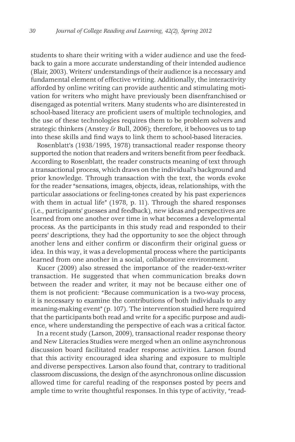students to share their writing with a wider audience and use the feedback to gain a more accurate understanding of their intended audience (Blair, 2003). Writers' understandings of their audience is a necessary and fundamental element of effective writing. Additionally, the interactivity afforded by online writing can provide authentic and stimulating motivation for writers who might have previously been disenfranchised or disengaged as potential writers. Many students who are disinterested in school-based literacy are proficient users of multiple technologies, and the use of these technologies requires them to be problem solvers and strategic thinkers (Anstey & Bull, 2006); therefore, it behooves us to tap into these skills and find ways to link them to school-based literacies.

Rosenblatt's (1938/1995, 1978) transactional reader response theory supported the notion that readers and writers benefit from peer feedback. According to Rosenblatt, the reader constructs meaning of text through a transactional process, which draws on the individual's background and prior knowledge. Through transaction with the text, the words evoke for the reader "sensations, images, objects, ideas, relationships, with the particular associations or feeling-tones created by his past experiences with them in actual life" (1978, p. 11). Through the shared responses (i.e., participants' guesses and feedback), new ideas and perspectives are learned from one another over time in what becomes a developmental process. As the participants in this study read and responded to their peers' descriptions, they had the opportunity to see the object through another lens and either confirm or disconfirm their original guess or idea. In this way, it was a developmental process where the participants learned from one another in a social, collaborative environment.

Kucer (2009) also stressed the importance of the reader-text-writer transaction. He suggested that when communication breaks down between the reader and writer, it may not be because either one of them is not proficient: "Because communication is a two-way process, it is necessary to examine the contributions of both individuals to any meaning-making event" (p. 107). The intervention studied here required that the participants both read and write for a specific purpose and audience, where understanding the perspective of each was a critical factor.

In a recent study (Larson, 2009), transactional reader response theory and New Literacies Studies were merged when an online asynchronous discussion board facilitated reader response activities. Larson found that this activity encouraged idea sharing and exposure to multiple and diverse perspectives. Larson also found that, contrary to traditional classroom discussions, the design of the asynchronous online discussion allowed time for careful reading of the responses posted by peers and ample time to write thoughtful responses. In this type of activity, "read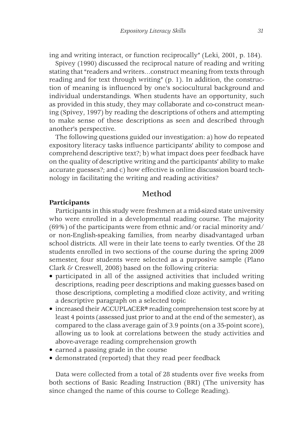ing and writing interact, or function reciprocally" (Leki, 2001, p. 184).

Spivey (1990) discussed the reciprocal nature of reading and writing stating that "readers and writers…construct meaning from texts through reading and for text through writing" (p. 1). In addition, the construction of meaning is influenced by one's sociocultural background and individual understandings. When students have an opportunity, such as provided in this study, they may collaborate and co-construct meaning (Spivey, 1997) by reading the descriptions of others and attempting to make sense of these descriptions as seen and described through another's perspective.

The following questions guided our investigation: a) how do repeated expository literacy tasks influence participants' ability to compose and comprehend descriptive text?; b) what impact does peer feedback have on the quality of descriptive writing and the participants' ability to make accurate guesses?; and c) how effective is online discussion board technology in facilitating the writing and reading activities?

## Method

#### **Participants**

Participants in this study were freshmen at a mid-sized state university who were enrolled in a developmental reading course. The majority (69%) of the participants were from ethnic and/or racial minority and/ or non-English-speaking families, from nearby disadvantaged urban school districts. All were in their late teens to early twenties. Of the 28 students enrolled in two sections of the course during the spring 2009 semester, four students were selected as a purposive sample (Plano Clark & Creswell, 2008) based on the following criteria:

- participated in all of the assigned activities that included writing descriptions, reading peer descriptions and making guesses based on those descriptions, completing a modified cloze activity, and writing a descriptive paragraph on a selected topic
- increased their ACCUPLACER® reading comprehension test score by at least 4 points (assessed just prior to and at the end of the semester), as compared to the class average gain of 3.9 points (on a 35-point score), allowing us to look at correlations between the study activities and above-average reading comprehension growth
- earned a passing grade in the course
- demonstrated (reported) that they read peer feedback

Data were collected from a total of 28 students over five weeks from both sections of Basic Reading Instruction (BRI) (The university has since changed the name of this course to College Reading).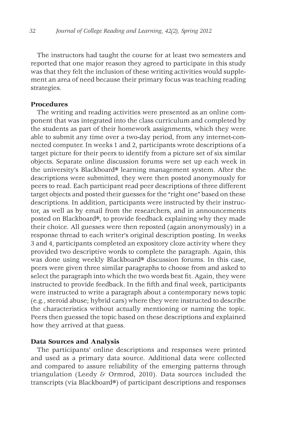The instructors had taught the course for at least two semesters and reported that one major reason they agreed to participate in this study was that they felt the inclusion of these writing activities would supplement an area of need because their primary focus was teaching reading strategies.

#### **Procedures**

The writing and reading activities were presented as an online component that was integrated into the class curriculum and completed by the students as part of their homework assignments, which they were able to submit any time over a two-day period, from any internet-connected computer. In weeks 1 and 2, participants wrote descriptions of a target picture for their peers to identify from a picture set of six similar objects. Separate online discussion forums were set up each week in the university's Blackboard® learning management system. After the descriptions were submitted, they were then posted anonymously for peers to read. Each participant read peer descriptions of three different target objects and posted their guesses for the "right one" based on these descriptions. In addition, participants were instructed by their instructor, as well as by email from the researchers, and in announcements posted on Blackboard®, to provide feedback explaining why they made their choice. All guesses were then reposted (again anonymously) in a response thread to each writer's original description posting. In weeks 3 and 4, participants completed an expository cloze activity where they provided two descriptive words to complete the paragraph. Again, this was done using weekly Blackboard® discussion forums. In this case, peers were given three similar paragraphs to choose from and asked to select the paragraph into which the two words best fit. Again, they were instructed to provide feedback. In the fifth and final week, participants were instructed to write a paragraph about a contemporary news topic (e.g., steroid abuse; hybrid cars) where they were instructed to describe the characteristics without actually mentioning or naming the topic. Peers then guessed the topic based on these descriptions and explained how they arrived at that guess.

## **Data Sources and Analysis**

The participants' online descriptions and responses were printed and used as a primary data source. Additional data were collected and compared to assure reliability of the emerging patterns through triangulation (Leedy & Ormrod, 2010). Data sources included the transcripts (via Blackboard®) of participant descriptions and responses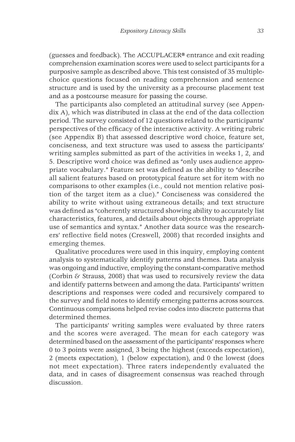(guesses and feedback). The ACCUPLACER® entrance and exit reading comprehension examination scores were used to select participants for a purposive sample as described above. This test consisted of 35 multiplechoice questions focused on reading comprehension and sentence structure and is used by the university as a precourse placement test and as a postcourse measure for passing the course.

The participants also completed an attitudinal survey (see Appendix A), which was distributed in class at the end of the data collection period. The survey consisted of 12 questions related to the participants' perspectives of the efficacy of the interactive activity. A writing rubric (see Appendix B) that assessed descriptive word choice, feature set, conciseness, and text structure was used to assess the participants' writing samples submitted as part of the activities in weeks 1, 2, and 5. Descriptive word choice was defined as "only uses audience appropriate vocabulary." Feature set was defined as the ability to "describe all salient features based on prototypical feature set for item with no comparisons to other examples (i.e., could not mention relative position of the target item as a clue)." Conciseness was considered the ability to write without using extraneous details; and text structure was defined as "coherently structured showing ability to accurately list characteristics, features, and details about objects through appropriate use of semantics and syntax." Another data source was the researchers' reflective field notes (Creswell, 2008) that recorded insights and emerging themes.

Qualitative procedures were used in this inquiry, employing content analysis to systematically identify patterns and themes. Data analysis was ongoing and inductive, employing the constant-comparative method (Corbin & Strauss, 2008) that was used to recursively review the data and identify patterns between and among the data. Participants' written descriptions and responses were coded and recursively compared to the survey and field notes to identify emerging patterns across sources. Continuous comparisons helped revise codes into discrete patterns that determined themes.

The participants' writing samples were evaluated by three raters and the scores were averaged. The mean for each category was determined based on the assessment of the participants' responses where 0 to 3 points were assigned, 3 being the highest (exceeds expectation), 2 (meets expectation), 1 (below expectation), and 0 the lowest (does not meet expectation). Three raters independently evaluated the data, and in cases of disagreement consensus was reached through discussion.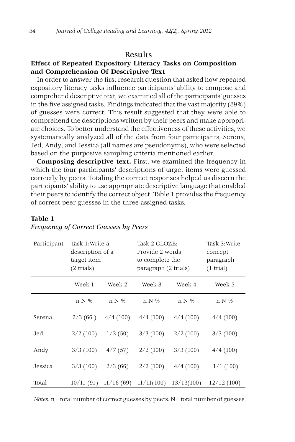## Results

## **Effect of Repeated Expository Literacy Tasks on Composition and Comprehension Of Descriptive Text**

In order to answer the first research question that asked how repeated expository literacy tasks influence participants' ability to compose and comprehend descriptive text, we examined all of the participants' guesses in the five assigned tasks. Findings indicated that the vast majority (89%) of guesses were correct. This result suggested that they were able to comprehend the descriptions written by their peers and make appropriate choices. To better understand the effectiveness of these activities, we systematically analyzed all of the data from four participants, Serena, Jed, Andy, and Jessica (all names are pseudonyms), who were selected based on the purposive sampling criteria mentioned earlier.

**Composing descriptive text.** First, we examined the frequency in which the four participants' descriptions of target items were guessed correctly by peers. Totaling the correct responses helped us discern the participants' ability to use appropriate descriptive language that enabled their peers to identify the correct object. Table 1 provides the frequency of correct peer guesses in the three assigned tasks.

| Participant | Task 1:Write a<br>description of a<br>target item<br>$(2 \text{ trials})$ |           | Task 2-CLOZE:<br>Provide 2 words<br>to complete the<br>paragraph (2 trials) | Task 3: Write<br>concept<br>paragraph<br>$(1 \text{ trial})$ |            |
|-------------|---------------------------------------------------------------------------|-----------|-----------------------------------------------------------------------------|--------------------------------------------------------------|------------|
|             | Week 1                                                                    | Week 2    | Week 3                                                                      | Week 4                                                       | Week 5     |
|             | n N %                                                                     | n N %     | n N %                                                                       | n N %                                                        | n N %      |
| Serena      | 2/3(66)                                                                   | 4/4(100)  | 4/4(100)                                                                    | 4/4(100)                                                     | 4/4(100)   |
| Jed         | 2/2(100)                                                                  | 1/2(50)   | 3/3(100)                                                                    | 2/2(100)                                                     | 3/3(100)   |
| Andy        | 3/3(100)                                                                  | 4/7(57)   | 2/2(100)                                                                    | 3/3(100)                                                     | 4/4(100)   |
| Jessica     | 3/3(100)                                                                  | 2/3(66)   | 2/2(100)                                                                    | 4/4(100)                                                     | 1/1(100)   |
| Total       | 10/11(91)                                                                 | 11/16(69) | 11/11(100)                                                                  | 13/13(100)                                                   | 12/12(100) |

### **Table 1** *Frequency of Correct Guesses by Peers*

*Notes.*  $n$  = total number of correct guesses by peers. N = total number of guesses.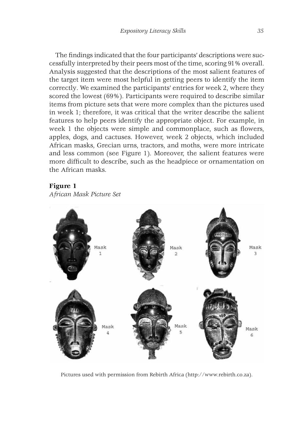The findings indicated that the four participants' descriptions were successfully interpreted by their peers most of the time, scoring 91% overall. Analysis suggested that the descriptions of the most salient features of the target item were most helpful in getting peers to identify the item correctly. We examined the participants' entries for week 2, where they scored the lowest (69%). Participants were required to describe similar items from picture sets that were more complex than the pictures used in week 1; therefore, it was critical that the writer describe the salient features to help peers identify the appropriate object. For example, in week 1 the objects were simple and commonplace, such as flowers, apples, dogs, and cactuses. However, week 2 objects, which included African masks, Grecian urns, tractors, and moths, were more intricate and less common (see Figure 1). Moreover, the salient features were more difficult to describe, such as the headpiece or ornamentation on the African masks.

#### **Figure 1**

*African Mask Picture Set*



Pictures used with permission from Rebirth Africa (http://www.rebirth.co.za).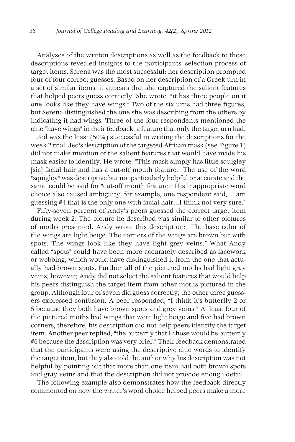Analyses of the written descriptions as well as the feedback to these descriptions revealed insights to the participants' selection process of target items. Serena was the most successful: her description prompted four of four correct guesses. Based on her description of a Greek urn in a set of similar items, it appears that she captured the salient features that helped peers guess correctly. She wrote, "it has three people on it one looks like they have wings." Two of the six urns had three figures, but Serena distinguished the one she was describing from the others by indicating it had wings. Three of the four respondents mentioned the clue "have wings" in their feedback, a feature that only the target urn had.

Jed was the least (50%) successful in writing the descriptions for the week 2 trial. Jed's description of the targeted African mask (see Figure 1) did not make mention of the salient features that would have made his mask easier to identify. He wrote, "This mask simply has little squigley [sic] facial hair and has a cut-off mouth feature." The use of the word "squigley" was descriptive but not particularly helpful or accurate and the same could be said for "cut-off mouth feature." His inappropriate word choice also caused ambiguity; for example, one respondent said, "I am guessing #4 that is the only one with facial hair…I think not very sure."

Fifty-seven percent of Andy's peers guessed the correct target item during week 2. The picture he described was similar to other pictures of moths presented. Andy wrote this description: "The base color of the wings are light beige. The corners of the wings are brown but with spots. The wings look like they have light grey veins." What Andy called "spots" could have been more accurately described as lacework or webbing, which would have distinguished it from the one that actually had brown spots. Further, all of the pictured moths had light gray veins; however, Andy did not select the salient features that would help his peers distinguish the target item from other moths pictured in the group. Although four of seven did guess correctly, the other three guessers expressed confusion. A peer responded, "I think it's butterfly 2 or 5 because they both have brown spots and grey veins." At least four of the pictured moths had wings that were light beige and five had brown corners; therefore, his description did not help peers identify the target item. Another peer replied, "the butterfly that I chose would be butterfly #6 because the description was very brief." Their feedback demonstrated that the participants were using the descriptive clue words to identify the target item, but they also told the author why his description was not helpful by pointing out that more than one item had both brown spots and gray veins and that the description did not provide enough detail.

The following example also demonstrates how the feedback directly commented on how the writer's word choice helped peers make a more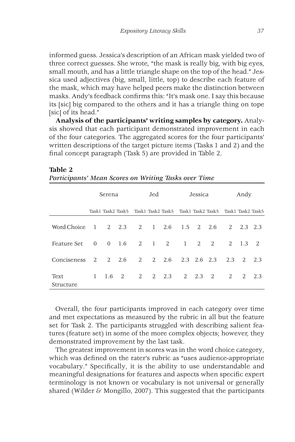informed guess. Jessica's description of an African mask yielded two of three correct guesses. She wrote, "the mask is really big, with big eyes, small mouth, and has a little triangle shape on the top of the head." Jessica used adjectives (big, small, little, top) to describe each feature of the mask, which may have helped peers make the distinction between masks. Andy's feedback confirms this: "It's mask one. I say this because its [sic] big compared to the others and it has a triangle thing on tope [sic] of its head."

**Analysis of the participants' writing samples by category.** Analysis showed that each participant demonstrated improvement in each of the four categories. The aggregated scores for the four participants' written descriptions of the target picture items (Tasks 1 and 2) and the final concept paragraph (Task 5) are provided in Table 2.

|                   |                | Serena |                   |   | Jed           |                                        |              | Jessica       |              |     | Andy    |                   |
|-------------------|----------------|--------|-------------------|---|---------------|----------------------------------------|--------------|---------------|--------------|-----|---------|-------------------|
|                   |                |        | Task1 Task2 Task5 |   |               | Task1 Task2 Task5    Task1 Task2 Task5 |              |               |              |     |         | Task1 Task2 Task5 |
| Word Choice       | $\overline{1}$ |        | 2 2.3             |   | $2 \quad 1$   | 2.6                                    | 1.5          | 2             | 2.6          | 2   | 2.3 2.3 |                   |
| Feature Set       | $\overline{0}$ |        | $0 \t 1.6$        |   | $2 \t 1 \t 2$ |                                        | $\mathbf{1}$ | 2             | 2            | 2   | 1.3     | - 2               |
| Conciseness       | 2              |        | 2 2.6             | 2 | 2             | 2.6                                    |              | 2.3 2.6 2.3   |              | 2.3 | 2       | 2.3               |
| Text<br>Structure | 1              | 1.6    | 2                 | 2 |               | 2 2.3                                  |              | $2 \quad 2.3$ | <sup>2</sup> | 2   | 2       | 2.3               |

| Table 2 |                                                      |  |
|---------|------------------------------------------------------|--|
|         | Participants' Mean Scores on Writing Tasks over Time |  |

Overall, the four participants improved in each category over time and met expectations as measured by the rubric in all but the feature set for Task 2. The participants struggled with describing salient features (feature set) in some of the more complex objects; however, they demonstrated improvement by the last task.

The greatest improvement in scores was in the word choice category, which was defined on the rater's rubric as "uses audience-appropriate vocabulary." Specifically, it is the ability to use understandable and meaningful designations for features and aspects when specific expert terminology is not known or vocabulary is not universal or generally shared (Wilder & Mongillo, 2007). This suggested that the participants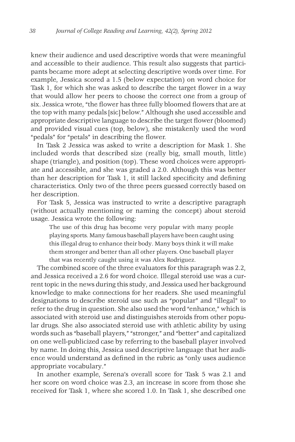knew their audience and used descriptive words that were meaningful and accessible to their audience. This result also suggests that participants became more adept at selecting descriptive words over time. For example, Jessica scored a 1.5 (below expectation) on word choice for Task 1, for which she was asked to describe the target flower in a way that would allow her peers to choose the correct one from a group of six. Jessica wrote, "the flower has three fully bloomed flowers that are at the top with many pedals [sic] below." Although she used accessible and appropriate descriptive language to describe the target flower (bloomed) and provided visual cues (top, below), she mistakenly used the word "pedals" for "petals" in describing the flower.

In Task 2 Jessica was asked to write a description for Mask 1. She included words that described size (really big, small mouth, little) shape (triangle), and position (top). These word choices were appropriate and accessible, and she was graded a 2.0. Although this was better than her description for Task 1, it still lacked specificity and defining characteristics. Only two of the three peers guessed correctly based on her description.

For Task 5, Jessica was instructed to write a descriptive paragraph (without actually mentioning or naming the concept) about steroid usage. Jessica wrote the following:

The use of this drug has become very popular with many people playing sports. Many famous baseball players have been caught using this illegal drug to enhance their body. Many boys think it will make them stronger and better than all other players. One baseball player that was recently caught using it was Alex Rodriguez.

The combined score of the three evaluators for this paragraph was 2.2, and Jessica received a 2.6 for word choice. Illegal steroid use was a current topic in the news during this study, and Jessica used her background knowledge to make connections for her readers. She used meaningful designations to describe steroid use such as "popular" and "illegal" to refer to the drug in question. She also used the word "enhance," which is associated with steroid use and distinguishes steroids from other popular drugs. She also associated steroid use with athletic ability by using words such as "baseball players," "stronger," and "better" and capitalized on one well-publicized case by referring to the baseball player involved by name. In doing this, Jessica used descriptive language that her audience would understand as defined in the rubric as "only uses audience appropriate vocabulary."

In another example, Serena's overall score for Task 5 was 2.1 and her score on word choice was 2.3, an increase in score from those she received for Task 1, where she scored 1.0. In Task 1, she described one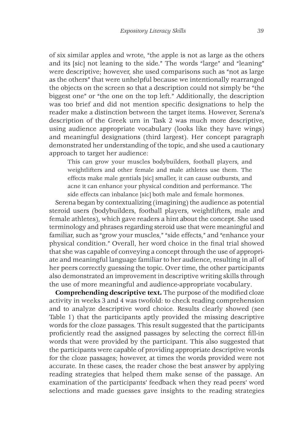of six similar apples and wrote, "the apple is not as large as the others and its [sic] not leaning to the side." The words "large" and "leaning" were descriptive; however, she used comparisons such as "not as large as the others" that were unhelpful because we intentionally rearranged the objects on the screen so that a description could not simply be "the biggest one" or "the one on the top left." Additionally, the description was too brief and did not mention specific designations to help the reader make a distinction between the target items. However, Serena's description of the Greek urn in Task 2 was much more descriptive, using audience appropriate vocabulary (looks like they have wings) and meaningful designations (third largest). Her concept paragraph demonstrated her understanding of the topic, and she used a cautionary approach to target her audience:

This can grow your muscles bodybuilders, football players, and weightlifters and other female and male athletes use them. The effects make male gentials [sic] smaller, it can cause outbursts, and acne it can enhance your physical condition and performance. The side effects can inbalance [sic] both male and female hormones.

Serena began by contextualizing (imagining) the audience as potential steroid users (bodybuilders, football players, weightlifters, male and female athletes), which gave readers a hint about the concept. She used terminology and phrases regarding steroid use that were meaningful and familiar, such as "grow your muscles," "side effects," and "enhance your physical condition." Overall, her word choice in the final trial showed that she was capable of conveying a concept through the use of appropriate and meaningful language familiar to her audience, resulting in all of her peers correctly guessing the topic. Over time, the other participants also demonstrated an improvement in descriptive writing skills through the use of more meaningful and audience-appropriate vocabulary.

**Comprehending descriptive text.** The purpose of the modified cloze activity in weeks 3 and 4 was twofold: to check reading comprehension and to analyze descriptive word choice. Results clearly showed (see Table 1) that the participants aptly provided the missing descriptive words for the cloze passages. This result suggested that the participants proficiently read the assigned passages by selecting the correct fill-in words that were provided by the participant. This also suggested that the participants were capable of providing appropriate descriptive words for the cloze passages; however, at times the words provided were not accurate. In these cases, the reader chose the best answer by applying reading strategies that helped them make sense of the passage. An examination of the participants' feedback when they read peers' word selections and made guesses gave insights to the reading strategies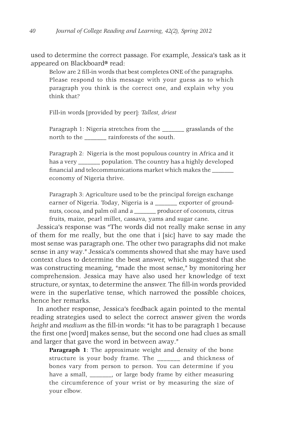used to determine the correct passage. For example, Jessica's task as it appeared on Blackboard® read:

Below are 2 fill-in words that best completes ONE of the paragraphs. Please respond to this message with your guess as to which paragraph you think is the correct one, and explain why you think that?

Fill-in words [provided by peer]: *Tallest, driest*

Paragraph 1: Nigeria stretches from the \_\_\_\_\_\_\_ grasslands of the north to the \_\_\_\_\_\_\_ rainforests of the south.

Paragraph 2: Nigeria is the most populous country in Africa and it has a very \_\_\_\_\_\_\_ population. The country has a highly developed financial and telecommunications market which makes the \_\_\_\_\_\_\_ economy of Nigeria thrive.

Paragraph 3: Agriculture used to be the principal foreign exchange earner of Nigeria. Today, Nigeria is a \_\_\_\_\_\_\_ exporter of groundnuts, cocoa, and palm oil and a \_\_\_\_\_\_\_ producer of coconuts, citrus fruits, maize, pearl millet, cassava, yams and sugar cane.

Jessica's response was "The words did not really make sense in any of them for me really, but the one that i [sic] have to say made the most sense was paragraph one. The other two paragraphs did not make sense in any way." Jessica's comments showed that she may have used context clues to determine the best answer, which suggested that she was constructing meaning, "made the most sense," by monitoring her comprehension. Jessica may have also used her knowledge of text structure, or syntax, to determine the answer. The fill-in words provided were in the superlative tense, which narrowed the possible choices, hence her remarks.

In another response, Jessica's feedback again pointed to the mental reading strategies used to select the correct answer given the words *height* and *medium* as the fill-in words: "it has to be paragraph 1 because the first one [word] makes sense, but the second one had clues as small and larger that gave the word in between away."

**Paragraph 1**: The approximate weight and density of the bone structure is your body frame. The \_\_\_\_\_\_\_ and thickness of bones vary from person to person. You can determine if you have a small, \_\_\_\_\_\_, or large body frame by either measuring the circumference of your wrist or by measuring the size of your elbow.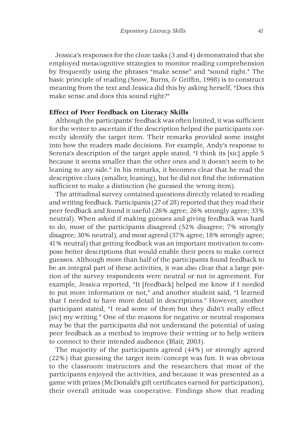Jessica's responses for the cloze tasks (3 and 4) demonstrated that she employed metacognitive strategies to monitor reading comprehension by frequently using the phrases "make sense" and "sound right." The basic principle of reading (Snow, Burns, & Griffin, 1998) is to construct meaning from the text and Jessica did this by asking herself, "Does this make sense and does this sound right?"

#### **Effect of Peer Feedback on Literacy Skills**

Although the participants' feedback was often limited, it was sufficient for the writer to ascertain if the description helped the participants correctly identify the target item. Their remarks provided some insight into how the readers made decisions. For example, Andy's response to Serena's description of the target apple stated, "I think its [sic] apple 5 because it seems smaller than the other ones and it doesn't seem to be leaning to any side." In his remarks, it becomes clear that he read the descriptive clues (smaller, leaning), but he did not find the information sufficient to make a distinction (he guessed the wrong item).

The attitudinal survey contained questions directly related to reading and writing feedback. Participants (27 of 28) reported that they read their peer feedback and found it useful (26% agree; 26% strongly agree; 33% neutral). When asked if making guesses and giving feedback was hard to do, most of the participants disagreed (52% disagree; 7% strongly disagree; 30% neutral), and most agreed (37% agree; 18% strongly agree; 41% neutral) that getting feedback was an important motivation to compose better descriptions that would enable their peers to make correct guesses. Although more than half of the participants found feedback to be an integral part of these activities, it was also clear that a large portion of the survey respondents were neutral or not in agreement. For example, Jessica reported, "It [feedback] helped me know if I needed to put more information or not," and another student said, "I learned that I needed to have more detail in descriptions." However, another participant stated, "I read some of them but they didn't really effect [sic] my writing." One of the reasons for negative or neutral responses may be that the participants did not understand the potential of using peer feedback as a method to improve their writing or to help writers to connect to their intended audience (Blair, 2003).

The majority of the participants agreed (44%) or strongly agreed (22%) that guessing the target item/concept was fun. It was obvious to the classroom instructors and the researchers that most of the participants enjoyed the activities, and because it was presented as a game with prizes (McDonald's gift certificates earned for participation), their overall attitude was cooperative. Findings show that reading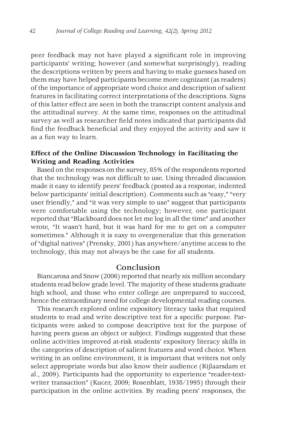peer feedback may not have played a significant role in improving participants' writing; however (and somewhat surprisingly), reading the descriptions written by peers and having to make guesses based on them may have helped participants become more cognizant (as readers) of the importance of appropriate word choice and description of salient features in facilitating correct interpretations of the descriptions. Signs of this latter effect are seen in both the transcript content analysis and the attitudinal survey. At the same time, responses on the attitudinal survey as well as researcher field notes indicated that participants did find the feedback beneficial and they enjoyed the activity and saw it as a fun way to learn.

## **Effect of the Online Discussion Technology in Facilitating the Writing and Reading Activities**

Based on the responses on the survey, 85% of the respondents reported that the technology was not difficult to use. Using threaded discussion made it easy to identify peers' feedback (posted as a response, indented below participants' initial description). Comments such as "easy," "very user friendly," and "it was very simple to use" suggest that participants were comfortable using the technology; however, one participant reported that "Blackboard does not let me log in all the time" and another wrote, "It wasn't hard, but it was hard for me to get on a computer sometimes." Although it is easy to overgeneralize that this generation of "digital natives" (Prensky, 2001) has anywhere/anytime access to the technology, this may not always be the case for all students.

## Conclusion

Biancarosa and Snow (2006) reported that nearly six million secondary students read below grade level. The majority of these students graduate high school, and those who enter college are unprepared to succeed, hence the extraordinary need for college developmental reading courses.

This research explored online expository literacy tasks that required students to read and write descriptive text for a specific purpose. Participants were asked to compose descriptive text for the purpose of having peers guess an object or subject. Findings suggested that these online activities improved at-risk students' expository literacy skills in the categories of description of salient features and word choice. When writing in an online environment, it is important that writers not only select appropriate words but also know their audience (Rijlaarsdam et al., 2009). Participants had the opportunity to experience "reader-textwriter transaction" (Kucer, 2009; Rosenblatt, 1938/1995) through their participation in the online activities. By reading peers' responses, the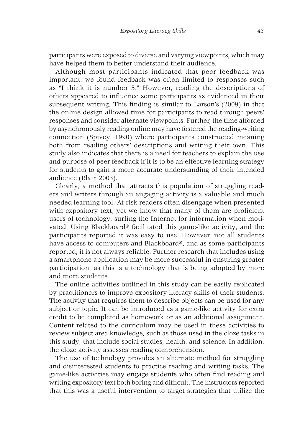participants were exposed to diverse and varying viewpoints, which may have helped them to better understand their audience.

Although most participants indicated that peer feedback was important, we found feedback was often limited to responses such as "I think it is number 5." However, reading the descriptions of others appeared to influence some participants as evidenced in their subsequent writing. This finding is similar to Larson's (2009) in that the online design allowed time for participants to read through peers' responses and consider alternate viewpoints. Further, the time afforded by asynchronously reading online may have fostered the reading-writing connection (Spivey, 1990) where participants constructed meaning both from reading others' descriptions and writing their own. This study also indicates that there is a need for teachers to explain the use and purpose of peer feedback if it is to be an effective learning strategy for students to gain a more accurate understanding of their intended audience (Blair, 2003).

Clearly, a method that attracts this population of struggling readers and writers through an engaging activity is a valuable and much needed learning tool. At-risk readers often disengage when presented with expository text, yet we know that many of them are proficient users of technology, surfing the Internet for information when motivated. Using Blackboard® facilitated this game-like activity, and the participants reported it was easy to use. However, not all students have access to computers and Blackboard®, and as some participants reported, it is not always reliable. Further research that includes using a smartphone application may be more successful in ensuring greater participation, as this is a technology that is being adopted by more and more students.

The online activities outlined in this study can be easily replicated by practitioners to improve expository literacy skills of their students. The activity that requires them to describe objects can be used for any subject or topic. It can be introduced as a game-like activity for extra credit to be completed as homework or as an additional assignment. Content related to the curriculum may be used in these activities to review subject area knowledge, such as those used in the cloze tasks in this study, that include social studies, health, and science. In addition, the cloze activity assesses reading comprehension.

The use of technology provides an alternate method for struggling and disinterested students to practice reading and writing tasks. The game-like activities may engage students who often find reading and writing expository text both boring and difficult. The instructors reported that this was a useful intervention to target strategies that utilize the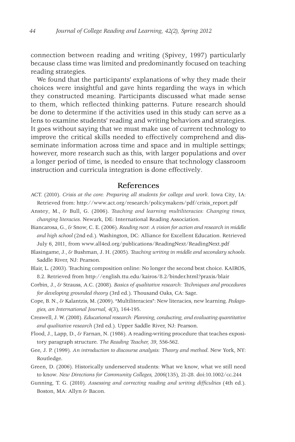connection between reading and writing (Spivey, 1997) particularly because class time was limited and predominantly focused on teaching reading strategies.

We found that the participants' explanations of why they made their choices were insightful and gave hints regarding the ways in which they constructed meaning. Participants discussed what made sense to them, which reflected thinking patterns. Future research should be done to determine if the activities used in this study can serve as a lens to examine students' reading and writing behaviors and strategies. It goes without saying that we must make use of current technology to improve the critical skills needed to effectively comprehend and disseminate information across time and space and in multiple settings; however, more research such as this, with larger populations and over a longer period of time, is needed to ensure that technology classroom instruction and curricula integration is done effectively.

#### References

- ACT. (2010). *Crisis at the core: Preparing all students for college and work*. Iowa City, IA: Retrieved from: http://www.act.org/research/policymakers/pdf/crisis\_report.pdf
- Anstey, M., & Bull, G. (2006). *Teaching and learning multiliteracies: Changing times, changing literacies*. Newark, DE: International Reading Association.
- Biancarosa, G., & Snow, C. E. (2006). *Reading next: A vision for action and research in middle and high school* (2nd ed.). Washington, DC: Alliance for Excellent Education. Retrieved July 6, 2011, from www.all4ed.org/publications/ReadingNext/ReadingNext.pdf
- Blasingame, J., & Bushman, J. H. (2005). *Teaching writing in middle and secondary schools*. Saddle River, NJ: Pearson.
- Blair, L. (2003). Teaching composition online: No longer the second best choice. KAIROS, 8.2. Retrieved from http://english.ttu.edu/kairos/8.2/binder.html?praxis/blair
- Corbin, J., & Strauss, A.C. (2008). *Basics of qualitative research: Techniques and procedures for developing grounded theory* (3rd ed.). Thousand Oaks, CA: Sage.
- Cope, B. N., & Kalantzis, M. (2009). "Multiliteracies": New literacies, new learning. *Pedagogies, an International Journal, 4*(3), 164-195.
- Creswell, J. W. (2008). *Educational research: Planning, conducting, and evaluating quantitative and qualitative research* (3rd ed.). Upper Saddle River, NJ: Pearson.
- Flood, J., Lapp, D., & Farnan, N. (1986). A reading-writing procedure that teaches expository paragraph structure. *The Reading Teacher, 39*, 556-562.
- Gee, J. P. (1999). *An introduction to discourse analysis: Theory and method*. New York, NY: Routledge.
- Green, D. (2006). Historically underserved students: What we know, what we still need to know. *New Directions for Community Colleges, 2006*(135), 21-28. doi:10.1002/cc.244
- Gunning, T. G. (2010). *Assessing and correcting reading and writing difficulties* (4th ed.). Boston, MA: Allyn & Bacon.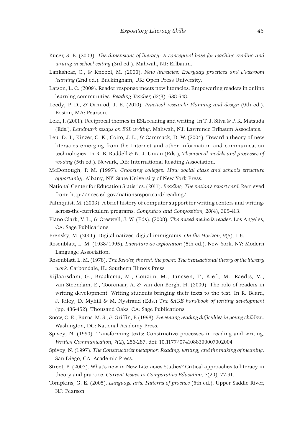- Kucer, S. B. (2009). *The dimensions of literacy: A conceptual base for teaching reading and writing in school setting* (3rd ed.). Mahwah, NJ: Erlbaum.
- Lankshear, C., & Knobel, M. (2006). *New literacies: Everyday practices and classroom learning* (2nd ed.). Buckingham, UK: Open Press University.
- Larson, L. C. (2009). Reader response meets new literacies: Empowering readers in online learning communities. *Reading Teacher, 62*(8), 638-648.
- Leedy, P. D., & Ormrod, J. E. (2010). *Practical research: Planning and design* (9th ed.). Boston, MA: Pearson.
- Leki, I. (2001). Reciprocal themes in ESL reading and writing. In T. J. Silva & P. K. Matsuda (Eds.), *Landmark essays on ESL writing*. Mahwah, NJ: Lawrence Erlbaum Associates.
- Leu, D. J., Kinzer, C. K., Coiro, J. L., & Cammack, D. W. (2004). Toward a theory of new literacies emerging from the Internet and other information and communication technologies. In R. B. Ruddell & N. J. Unrau (Eds.), *Theoretical models and processes of reading* (5th ed.). Newark, DE: International Reading Association.
- McDonough, P. M. (1997). *Choosing colleges: How social class and schools structure opportunity*. Albany, NY: State University of New York Press.
- National Center for Education Statistics. (2011). *Reading: The nation's report card*. Retrieved from: http://nces.ed.gov/nationsreportcard/reading/
- Palmquist, M. (2003). A brief history of computer support for writing centers and writingacross-the-curriculum programs. *Computers and Composition, 20*(4), 395-413.
- Plano Clark, V. L., & Creswell, J. W. (Eds). (2008). *The mixed methods reader*. Los Angeles, CA: Sage Publications.
- Prensky, M. (2001). Digital natives, digital immigrants. *On the Horizon, 9*(5), 1-6.
- Rosenblatt, L. M. (1938/1995). *Literature as exploration* (5th ed.). New York, NY: Modern Language Association.
- Rosenblatt, L. M. (1978). *The Reader, the text, the poem: The transactional theory of the literary work*. Carbondale, IL: Southern Illinois Press.
- Rijlaarsdam, G., Braaksma, M., Couzijn, M., Janssen, T., Kieft, M., Raedts, M., van Steendam, E., Toorenaar, A. & van den Bergh, H. (2009). The role of readers in writing development: Writing students bringing their texts to the test. In R. Beard, J. Riley, D. Myhill & M. Nystrand (Eds.) *The SAGE handbook of writing development* (pp. 436-452). Thousand Oaks, CA: Sage Publications.
- Snow, C. E., Burns, M. S., & Griffin, P. (1998). *Preventing reading difficulties in young children*. Washington, DC: National Academy Press.
- Spivey, N. (1990). Transforming texts: Constructive processes in reading and writing. *Written Communication, 7*(2), 256-287. doi: 10.1177/0741088390007002004
- Spivey, N. (1997). *The Constructivist metaphor: Reading, writing, and the making of meaning*. San Diego, CA: Academic Press.
- Street, B. (2003). What's new in New Literacies Studies? Critical approaches to literacy in theory and practice. *Current Issues in Comparative Education, 5*(20), 77-91.
- Tompkins, G. E. (2005). *Language arts: Patterns of practice* (6th ed.). Upper Saddle River, NJ: Pearson.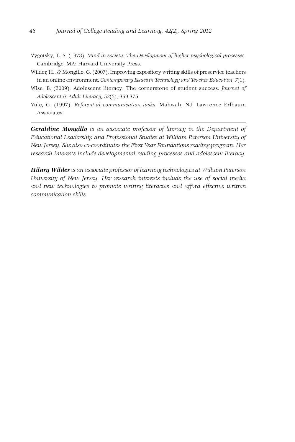- Vygotsky, L. S. (1978). *Mind in society: The Development of higher psychological processes*. Cambridge, MA: Harvard University Press.
- Wilder, H., & Mongillo, G. (2007). Improving expository writing skills of preservice teachers in an online environment. *Contemporary Issues in Technology and Teacher Education*, *7*(1).
- Wise, B. (2009). Adolescent literacy: The cornerstone of student success. *Journal of Adolescent & Adult Literacy, 52*(5), 369-375.
- Yule, G. (1997). *Referential communication tasks*. Mahwah, NJ: Lawrence Erlbaum Associates.

*Geraldine Mongillo is an associate professor of literacy in the Department of Educational Leadership and Professional Studies at William Paterson University of New Jersey. She also co-coordinates the First Year Foundations reading program. Her research interests include developmental reading processes and adolescent literacy.* 

*Hilary Wilder is an associate professor of learning technologies at William Paterson University of New Jersey. Her research interests include the use of social media*  and new technologies to promote writing literacies and afford effective written *communication skills.*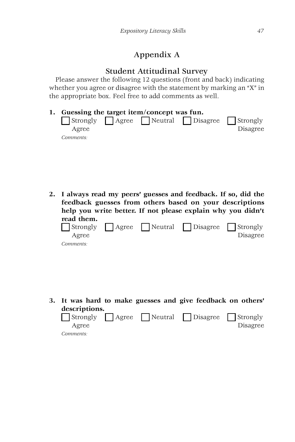## Appendix A

## Student Attitudinal Survey

Please answer the following 12 questions (front and back) indicating whether you agree or disagree with the statement by marking an "X" in the appropriate box. Feel free to add comments as well.

## **1. Guessing the target item/concept was fun.**

|                  |  | Strongly Agree Neutral Disagree Strongly |          |
|------------------|--|------------------------------------------|----------|
| Agree            |  |                                          | Disagree |
| <i>Comments:</i> |  |                                          |          |

**2. I always read my peers' guesses and feedback. If so, did the feedback guesses from others based on your descriptions help you write better. If not please explain why you didn't read them.**

|                  |  | Strongly Agree Neutral Disagree Strongly |          |
|------------------|--|------------------------------------------|----------|
| Agree            |  |                                          | Disagree |
| <i>Comments:</i> |  |                                          |          |

**3. It was hard to make guesses and give feedback on others' descriptions.**

|           |  | $\Box$ Strongly $\Box$ Agree $\Box$ Neutral $\Box$ Disagree $\Box$ Strongly |          |
|-----------|--|-----------------------------------------------------------------------------|----------|
| Agree     |  |                                                                             | Disagree |
| Comments: |  |                                                                             |          |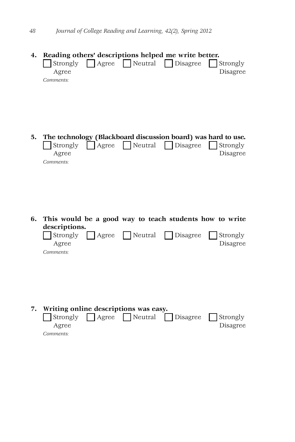| 4. |                                                 |              |                                                  | Reading others' descriptions helped me write better.                      |                      |
|----|-------------------------------------------------|--------------|--------------------------------------------------|---------------------------------------------------------------------------|----------------------|
|    | Strongly<br>Agree<br>Comments:                  | $\Box$ Agree | $\Box$ Neutral                                   | $\Box$ Disagree                                                           | Strongly<br>Disagree |
| 5. | Strongly<br>Agree<br>Comments:                  | Agree        | Neutral                                          | The technology (Blackboard discussion board) was hard to use.<br>Disagree | Strongly<br>Disagree |
| 6. |                                                 |              |                                                  | This would be a good way to teach students how to write                   |                      |
|    | descriptions.<br>Strongly<br>Agree<br>Comments: | Agree        | $\Box$ Neutral                                   | $\vert$ Disagree                                                          | Strongly<br>Disagree |
| 7. | Strongly<br>Agree<br>Comments:                  | Agree        | Writing online descriptions was easy.<br>Neutral | Disagree                                                                  | Strongly<br>Disagree |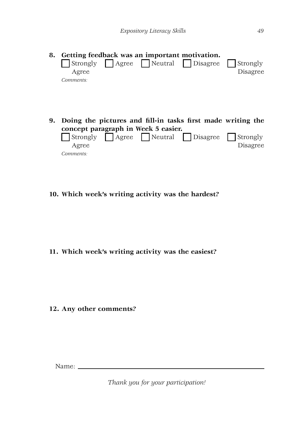|           |  | 8. Getting feedback was an important motivation. |          |
|-----------|--|--------------------------------------------------|----------|
|           |  | Strongly Agree Neutral Disagree Strongly         |          |
| Agree     |  |                                                  | Disagree |
| Comments: |  |                                                  |          |
|           |  |                                                  |          |

- **9. Doing the pictures and fill-in tasks first made writing the concept paragraph in Week 5 easier.** Strongly Agree Neutral Disagree Strongly Agree Disagree *Comments:*
- **10. Which week's writing activity was the hardest?**

**11. Which week's writing activity was the easiest?**

**12. Any other comments?**

Name:

*Thank you for your participation!*